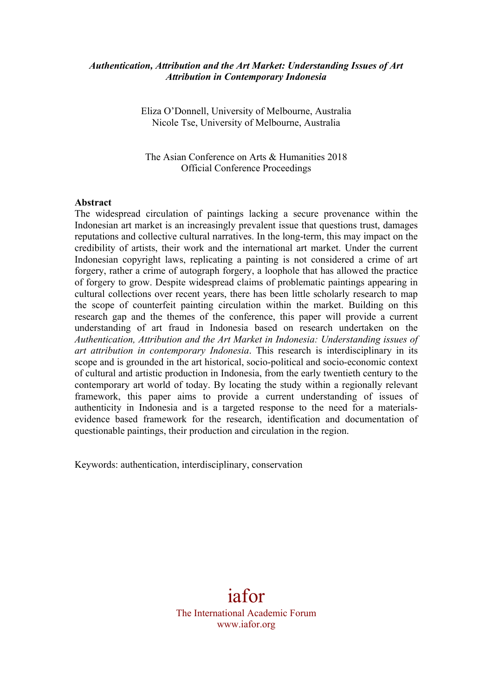# *Authentication, Attribution and the Art Market: Understanding Issues of Art Attribution in Contemporary Indonesia*

Eliza O'Donnell, University of Melbourne, Australia Nicole Tse, University of Melbourne, Australia

The Asian Conference on Arts & Humanities 2018 Official Conference Proceedings

#### **Abstract**

The widespread circulation of paintings lacking a secure provenance within the Indonesian art market is an increasingly prevalent issue that questions trust, damages reputations and collective cultural narratives. In the long-term, this may impact on the credibility of artists, their work and the international art market. Under the current Indonesian copyright laws, replicating a painting is not considered a crime of art forgery, rather a crime of autograph forgery, a loophole that has allowed the practice of forgery to grow. Despite widespread claims of problematic paintings appearing in cultural collections over recent years, there has been little scholarly research to map the scope of counterfeit painting circulation within the market. Building on this research gap and the themes of the conference, this paper will provide a current understanding of art fraud in Indonesia based on research undertaken on the *Authentication, Attribution and the Art Market in Indonesia: Understanding issues of art attribution in contemporary Indonesia*. This research is interdisciplinary in its scope and is grounded in the art historical, socio-political and socio-economic context of cultural and artistic production in Indonesia, from the early twentieth century to the contemporary art world of today. By locating the study within a regionally relevant framework, this paper aims to provide a current understanding of issues of authenticity in Indonesia and is a targeted response to the need for a materialsevidence based framework for the research, identification and documentation of questionable paintings, their production and circulation in the region.

Keywords: authentication, interdisciplinary, conservation

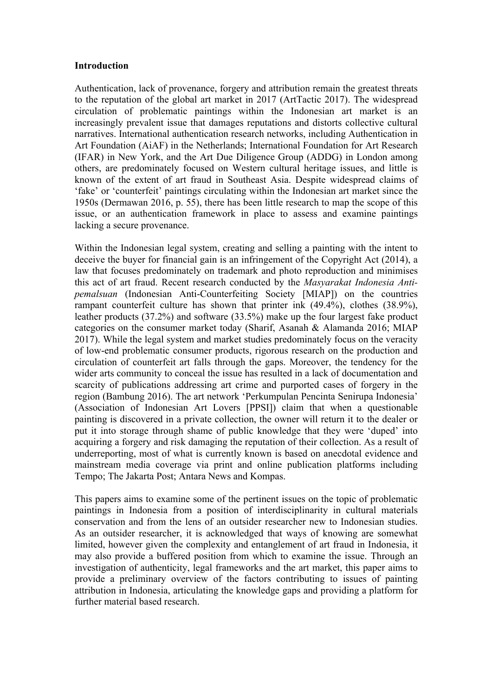#### **Introduction**

Authentication, lack of provenance, forgery and attribution remain the greatest threats to the reputation of the global art market in 2017 (ArtTactic 2017). The widespread circulation of problematic paintings within the Indonesian art market is an increasingly prevalent issue that damages reputations and distorts collective cultural narratives. International authentication research networks, including Authentication in Art Foundation (AiAF) in the Netherlands; International Foundation for Art Research (IFAR) in New York, and the Art Due Diligence Group (ADDG) in London among others, are predominately focused on Western cultural heritage issues, and little is known of the extent of art fraud in Southeast Asia. Despite widespread claims of 'fake' or 'counterfeit' paintings circulating within the Indonesian art market since the 1950s (Dermawan 2016, p. 55), there has been little research to map the scope of this issue, or an authentication framework in place to assess and examine paintings lacking a secure provenance.

Within the Indonesian legal system, creating and selling a painting with the intent to deceive the buyer for financial gain is an infringement of the Copyright Act (2014), a law that focuses predominately on trademark and photo reproduction and minimises this act of art fraud. Recent research conducted by the *Masyarakat Indonesia Antipemalsuan* (Indonesian Anti-Counterfeiting Society [MIAP]) on the countries rampant counterfeit culture has shown that printer ink (49.4%), clothes (38.9%), leather products (37.2%) and software (33.5%) make up the four largest fake product categories on the consumer market today (Sharif, Asanah & Alamanda 2016; MIAP 2017). While the legal system and market studies predominately focus on the veracity of low-end problematic consumer products, rigorous research on the production and circulation of counterfeit art falls through the gaps. Moreover, the tendency for the wider arts community to conceal the issue has resulted in a lack of documentation and scarcity of publications addressing art crime and purported cases of forgery in the region (Bambung 2016). The art network 'Perkumpulan Pencinta Senirupa Indonesia' (Association of Indonesian Art Lovers [PPSI]) claim that when a questionable painting is discovered in a private collection, the owner will return it to the dealer or put it into storage through shame of public knowledge that they were 'duped' into acquiring a forgery and risk damaging the reputation of their collection. As a result of underreporting, most of what is currently known is based on anecdotal evidence and mainstream media coverage via print and online publication platforms including Tempo; The Jakarta Post; Antara News and Kompas.

This papers aims to examine some of the pertinent issues on the topic of problematic paintings in Indonesia from a position of interdisciplinarity in cultural materials conservation and from the lens of an outsider researcher new to Indonesian studies. As an outsider researcher, it is acknowledged that ways of knowing are somewhat limited, however given the complexity and entanglement of art fraud in Indonesia, it may also provide a buffered position from which to examine the issue. Through an investigation of authenticity, legal frameworks and the art market, this paper aims to provide a preliminary overview of the factors contributing to issues of painting attribution in Indonesia, articulating the knowledge gaps and providing a platform for further material based research.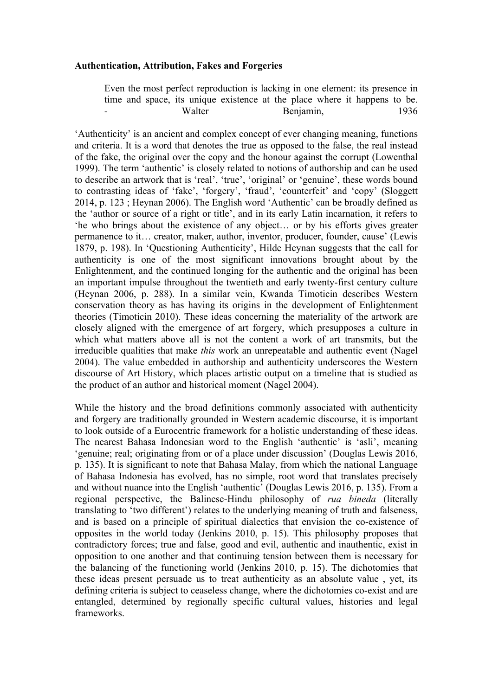### **Authentication, Attribution, Fakes and Forgeries**

Even the most perfect reproduction is lacking in one element: its presence in time and space, its unique existence at the place where it happens to be. Walter Benjamin, 1936

'Authenticity' is an ancient and complex concept of ever changing meaning, functions and criteria. It is a word that denotes the true as opposed to the false, the real instead of the fake, the original over the copy and the honour against the corrupt (Lowenthal 1999). The term 'authentic' is closely related to notions of authorship and can be used to describe an artwork that is 'real', 'true', 'original' or 'genuine', these words bound to contrasting ideas of 'fake', 'forgery', 'fraud', 'counterfeit' and 'copy' (Sloggett 2014, p. 123 ; Heynan 2006). The English word 'Authentic' can be broadly defined as the 'author or source of a right or title', and in its early Latin incarnation, it refers to 'he who brings about the existence of any object… or by his efforts gives greater permanence to it… creator, maker, author, inventor, producer, founder, cause' (Lewis 1879, p. 198). In 'Questioning Authenticity', Hilde Heynan suggests that the call for authenticity is one of the most significant innovations brought about by the Enlightenment, and the continued longing for the authentic and the original has been an important impulse throughout the twentieth and early twenty-first century culture (Heynan 2006, p. 288). In a similar vein, Kwanda Timoticin describes Western conservation theory as has having its origins in the development of Enlightenment theories (Timoticin 2010). These ideas concerning the materiality of the artwork are closely aligned with the emergence of art forgery, which presupposes a culture in which what matters above all is not the content a work of art transmits, but the irreducible qualities that make *this* work an unrepeatable and authentic event (Nagel 2004). The value embedded in authorship and authenticity underscores the Western discourse of Art History, which places artistic output on a timeline that is studied as the product of an author and historical moment (Nagel 2004).

While the history and the broad definitions commonly associated with authenticity and forgery are traditionally grounded in Western academic discourse, it is important to look outside of a Eurocentric framework for a holistic understanding of these ideas. The nearest Bahasa Indonesian word to the English 'authentic' is 'asli', meaning 'genuine; real; originating from or of a place under discussion' (Douglas Lewis 2016, p. 135). It is significant to note that Bahasa Malay, from which the national Language of Bahasa Indonesia has evolved, has no simple, root word that translates precisely and without nuance into the English 'authentic' (Douglas Lewis 2016, p. 135). From a regional perspective, the Balinese-Hindu philosophy of *rua bineda* (literally translating to 'two different') relates to the underlying meaning of truth and falseness, and is based on a principle of spiritual dialectics that envision the co-existence of opposites in the world today (Jenkins 2010, p. 15). This philosophy proposes that contradictory forces; true and false, good and evil, authentic and inauthentic, exist in opposition to one another and that continuing tension between them is necessary for the balancing of the functioning world (Jenkins 2010, p. 15). The dichotomies that these ideas present persuade us to treat authenticity as an absolute value , yet, its defining criteria is subject to ceaseless change, where the dichotomies co-exist and are entangled, determined by regionally specific cultural values, histories and legal frameworks.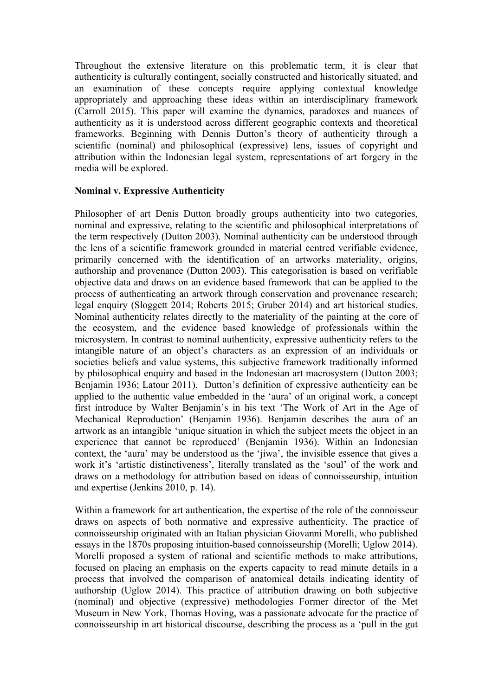Throughout the extensive literature on this problematic term, it is clear that authenticity is culturally contingent, socially constructed and historically situated, and an examination of these concepts require applying contextual knowledge appropriately and approaching these ideas within an interdisciplinary framework (Carroll 2015). This paper will examine the dynamics, paradoxes and nuances of authenticity as it is understood across different geographic contexts and theoretical frameworks. Beginning with Dennis Dutton's theory of authenticity through a scientific (nominal) and philosophical (expressive) lens, issues of copyright and attribution within the Indonesian legal system, representations of art forgery in the media will be explored.

## **Nominal v. Expressive Authenticity**

Philosopher of art Denis Dutton broadly groups authenticity into two categories, nominal and expressive, relating to the scientific and philosophical interpretations of the term respectively (Dutton 2003). Nominal authenticity can be understood through the lens of a scientific framework grounded in material centred verifiable evidence, primarily concerned with the identification of an artworks materiality, origins, authorship and provenance (Dutton 2003). This categorisation is based on verifiable objective data and draws on an evidence based framework that can be applied to the process of authenticating an artwork through conservation and provenance research; legal enquiry (Sloggett 2014; Roberts 2015; Gruber 2014) and art historical studies. Nominal authenticity relates directly to the materiality of the painting at the core of the ecosystem, and the evidence based knowledge of professionals within the microsystem. In contrast to nominal authenticity, expressive authenticity refers to the intangible nature of an object's characters as an expression of an individuals or societies beliefs and value systems, this subjective framework traditionally informed by philosophical enquiry and based in the Indonesian art macrosystem (Dutton 2003; Benjamin 1936; Latour 2011). Dutton's definition of expressive authenticity can be applied to the authentic value embedded in the 'aura' of an original work, a concept first introduce by Walter Benjamin's in his text 'The Work of Art in the Age of Mechanical Reproduction' (Benjamin 1936). Benjamin describes the aura of an artwork as an intangible 'unique situation in which the subject meets the object in an experience that cannot be reproduced' (Benjamin 1936). Within an Indonesian context, the 'aura' may be understood as the 'jiwa', the invisible essence that gives a work it's 'artistic distinctiveness', literally translated as the 'soul' of the work and draws on a methodology for attribution based on ideas of connoisseurship, intuition and expertise (Jenkins 2010, p. 14).

Within a framework for art authentication, the expertise of the role of the connoisseur draws on aspects of both normative and expressive authenticity. The practice of connoisseurship originated with an Italian physician Giovanni Morelli, who published essays in the 1870s proposing intuition-based connoisseurship (Morelli; Uglow 2014). Morelli proposed a system of rational and scientific methods to make attributions, focused on placing an emphasis on the experts capacity to read minute details in a process that involved the comparison of anatomical details indicating identity of authorship (Uglow 2014). This practice of attribution drawing on both subjective (nominal) and objective (expressive) methodologies Former director of the Met Museum in New York, Thomas Hoving, was a passionate advocate for the practice of connoisseurship in art historical discourse, describing the process as a 'pull in the gut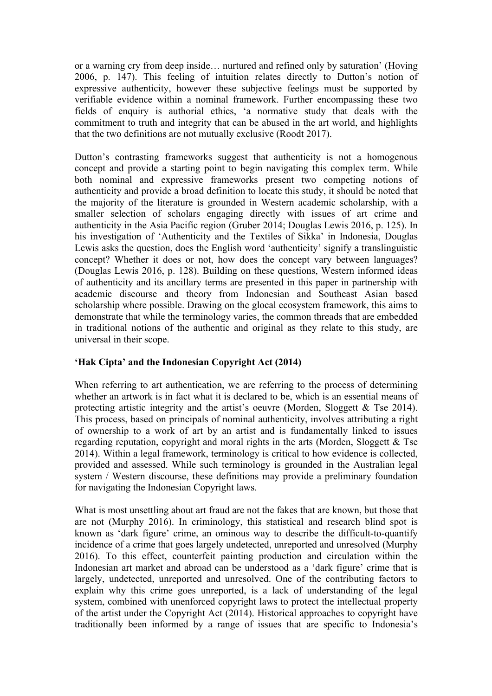or a warning cry from deep inside… nurtured and refined only by saturation' (Hoving 2006, p. 147). This feeling of intuition relates directly to Dutton's notion of expressive authenticity, however these subjective feelings must be supported by verifiable evidence within a nominal framework. Further encompassing these two fields of enquiry is authorial ethics, 'a normative study that deals with the commitment to truth and integrity that can be abused in the art world, and highlights that the two definitions are not mutually exclusive (Roodt 2017).

Dutton's contrasting frameworks suggest that authenticity is not a homogenous concept and provide a starting point to begin navigating this complex term. While both nominal and expressive frameworks present two competing notions of authenticity and provide a broad definition to locate this study, it should be noted that the majority of the literature is grounded in Western academic scholarship, with a smaller selection of scholars engaging directly with issues of art crime and authenticity in the Asia Pacific region (Gruber 2014; Douglas Lewis 2016, p. 125). In his investigation of 'Authenticity and the Textiles of Sikka' in Indonesia, Douglas Lewis asks the question, does the English word 'authenticity' signify a translinguistic concept? Whether it does or not, how does the concept vary between languages? (Douglas Lewis 2016, p. 128). Building on these questions, Western informed ideas of authenticity and its ancillary terms are presented in this paper in partnership with academic discourse and theory from Indonesian and Southeast Asian based scholarship where possible. Drawing on the glocal ecosystem framework, this aims to demonstrate that while the terminology varies, the common threads that are embedded in traditional notions of the authentic and original as they relate to this study, are universal in their scope.

# **'Hak Cipta' and the Indonesian Copyright Act (2014)**

When referring to art authentication, we are referring to the process of determining whether an artwork is in fact what it is declared to be, which is an essential means of protecting artistic integrity and the artist's oeuvre (Morden, Sloggett & Tse 2014). This process, based on principals of nominal authenticity, involves attributing a right of ownership to a work of art by an artist and is fundamentally linked to issues regarding reputation, copyright and moral rights in the arts (Morden, Sloggett & Tse 2014). Within a legal framework, terminology is critical to how evidence is collected, provided and assessed. While such terminology is grounded in the Australian legal system / Western discourse, these definitions may provide a preliminary foundation for navigating the Indonesian Copyright laws.

What is most unsettling about art fraud are not the fakes that are known, but those that are not (Murphy 2016). In criminology, this statistical and research blind spot is known as 'dark figure' crime, an ominous way to describe the difficult-to-quantify incidence of a crime that goes largely undetected, unreported and unresolved (Murphy 2016). To this effect, counterfeit painting production and circulation within the Indonesian art market and abroad can be understood as a 'dark figure' crime that is largely, undetected, unreported and unresolved. One of the contributing factors to explain why this crime goes unreported, is a lack of understanding of the legal system, combined with unenforced copyright laws to protect the intellectual property of the artist under the Copyright Act (2014). Historical approaches to copyright have traditionally been informed by a range of issues that are specific to Indonesia's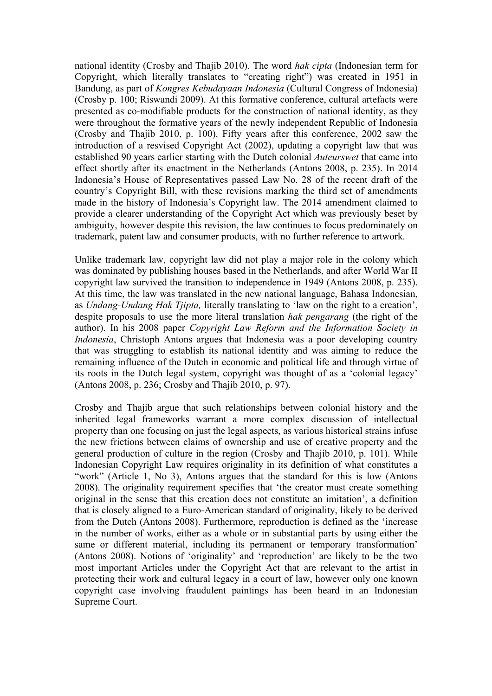national identity (Crosby and Thajib 2010). The word *hak cipta* (Indonesian term for Copyright, which literally translates to "creating right") was created in 1951 in Bandung, as part of *Kongres Kebudayaan Indonesia* (Cultural Congress of Indonesia) (Crosby p. 100; Riswandi 2009). At this formative conference, cultural artefacts were presented as co-modifiable products for the construction of national identity, as they were throughout the formative years of the newly independent Republic of Indonesia (Crosby and Thajib 2010, p. 100). Fifty years after this conference, 2002 saw the introduction of a resvised Copyright Act (2002), updating a copyright law that was established 90 years earlier starting with the Dutch colonial *Auteurswet* that came into effect shortly after its enactment in the Netherlands (Antons 2008, p. 235). In 2014 Indonesia's House of Representatives passed Law No. 28 of the recent draft of the country's Copyright Bill, with these revisions marking the third set of amendments made in the history of Indonesia's Copyright law. The 2014 amendment claimed to provide a clearer understanding of the Copyright Act which was previously beset by ambiguity, however despite this revision, the law continues to focus predominately on trademark, patent law and consumer products, with no further reference to artwork.

Unlike trademark law, copyright law did not play a major role in the colony which was dominated by publishing houses based in the Netherlands, and after World War II copyright law survived the transition to independence in 1949 (Antons 2008, p. 235). At this time, the law was translated in the new national language, Bahasa Indonesian, as *Undang-Undang Hak Tjipta,* literally translating to 'law on the right to a creation', despite proposals to use the more literal translation *hak pengarang* (the right of the author). In his 2008 paper *Copyright Law Reform and the Information Society in Indonesia*, Christoph Antons argues that Indonesia was a poor developing country that was struggling to establish its national identity and was aiming to reduce the remaining influence of the Dutch in economic and political life and through virtue of its roots in the Dutch legal system, copyright was thought of as a 'colonial legacy' (Antons 2008, p. 236; Crosby and Thajib 2010, p. 97).

Crosby and Thajib argue that such relationships between colonial history and the inherited legal frameworks warrant a more complex discussion of intellectual property than one focusing on just the legal aspects, as various historical strains infuse the new frictions between claims of ownership and use of creative property and the general production of culture in the region (Crosby and Thajib 2010, p. 101). While Indonesian Copyright Law requires originality in its definition of what constitutes a "work" (Article 1, No 3), Antons argues that the standard for this is low (Antons 2008). The originality requirement specifies that 'the creator must create something original in the sense that this creation does not constitute an imitation', a definition that is closely aligned to a Euro-American standard of originality, likely to be derived from the Dutch (Antons 2008). Furthermore, reproduction is defined as the 'increase in the number of works, either as a whole or in substantial parts by using either the same or different material, including its permanent or temporary transformation' (Antons 2008). Notions of 'originality' and 'reproduction' are likely to be the two most important Articles under the Copyright Act that are relevant to the artist in protecting their work and cultural legacy in a court of law, however only one known copyright case involving fraudulent paintings has been heard in an Indonesian Supreme Court.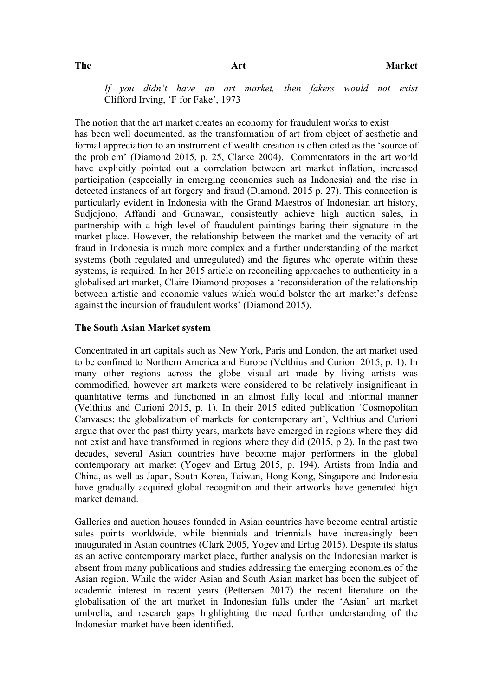*If you didn't have an art market, then fakers would not exist* Clifford Irving, 'F for Fake', 1973

The notion that the art market creates an economy for fraudulent works to exist has been well documented, as the transformation of art from object of aesthetic and formal appreciation to an instrument of wealth creation is often cited as the 'source of the problem' (Diamond 2015, p. 25, Clarke 2004). Commentators in the art world have explicitly pointed out a correlation between art market inflation, increased participation (especially in emerging economies such as Indonesia) and the rise in detected instances of art forgery and fraud (Diamond, 2015 p. 27). This connection is particularly evident in Indonesia with the Grand Maestros of Indonesian art history, Sudjojono, Affandi and Gunawan, consistently achieve high auction sales, in partnership with a high level of fraudulent paintings baring their signature in the market place. However, the relationship between the market and the veracity of art fraud in Indonesia is much more complex and a further understanding of the market systems (both regulated and unregulated) and the figures who operate within these systems, is required. In her 2015 article on reconciling approaches to authenticity in a globalised art market, Claire Diamond proposes a 'reconsideration of the relationship between artistic and economic values which would bolster the art market's defense against the incursion of fraudulent works' (Diamond 2015).

#### **The South Asian Market system**

Concentrated in art capitals such as New York, Paris and London, the art market used to be confined to Northern America and Europe (Velthius and Curioni 2015, p. 1). In many other regions across the globe visual art made by living artists was commodified, however art markets were considered to be relatively insignificant in quantitative terms and functioned in an almost fully local and informal manner (Velthius and Curioni 2015, p. 1). In their 2015 edited publication 'Cosmopolitan Canvases: the globalization of markets for contemporary art', Velthius and Curioni argue that over the past thirty years, markets have emerged in regions where they did not exist and have transformed in regions where they did (2015, p 2). In the past two decades, several Asian countries have become major performers in the global contemporary art market (Yogev and Ertug 2015, p. 194). Artists from India and China, as well as Japan, South Korea, Taiwan, Hong Kong, Singapore and Indonesia have gradually acquired global recognition and their artworks have generated high market demand.

Galleries and auction houses founded in Asian countries have become central artistic sales points worldwide, while biennials and triennials have increasingly been inaugurated in Asian countries (Clark 2005, Yogev and Ertug 2015). Despite its status as an active contemporary market place, further analysis on the Indonesian market is absent from many publications and studies addressing the emerging economies of the Asian region. While the wider Asian and South Asian market has been the subject of academic interest in recent years (Pettersen 2017) the recent literature on the globalisation of the art market in Indonesian falls under the 'Asian' art market umbrella, and research gaps highlighting the need further understanding of the Indonesian market have been identified.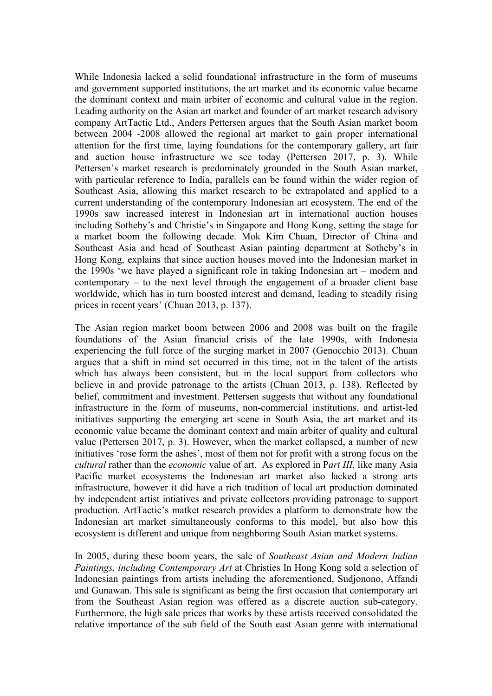While Indonesia lacked a solid foundational infrastructure in the form of museums and government supported institutions, the art market and its economic value became the dominant context and main arbiter of economic and cultural value in the region. Leading authority on the Asian art market and founder of art market research advisory company ArtTactic Ltd., Anders Pettersen argues that the South Asian market boom between 2004 -2008 allowed the regional art market to gain proper international attention for the first time, laying foundations for the contemporary gallery, art fair and auction house infrastructure we see today (Pettersen 2017, p. 3). While Pettersen's market research is predominately grounded in the South Asian market, with particular reference to India, parallels can be found within the wider region of Southeast Asia, allowing this market research to be extrapolated and applied to a current understanding of the contemporary Indonesian art ecosystem. The end of the 1990s saw increased interest in Indonesian art in international auction houses including Sotheby's and Christie's in Singapore and Hong Kong, setting the stage for a market boom the following decade. Mok Kim Chuan, Director of China and Southeast Asia and head of Southeast Asian painting department at Sotheby's in Hong Kong, explains that since auction houses moved into the Indonesian market in the 1990s 'we have played a significant role in taking Indonesian art – modern and contemporary – to the next level through the engagement of a broader client base worldwide, which has in turn boosted interest and demand, leading to steadily rising prices in recent years' (Chuan 2013, p. 137).

The Asian region market boom between 2006 and 2008 was built on the fragile foundations of the Asian financial crisis of the late 1990s, with Indonesia experiencing the full force of the surging market in 2007 (Genocchio 2013). Chuan argues that a shift in mind set occurred in this time, not in the talent of the artists which has always been consistent, but in the local support from collectors who believe in and provide patronage to the artists (Chuan 2013, p. 138). Reflected by belief, commitment and investment. Pettersen suggests that without any foundational infrastructure in the form of museums, non-commercial institutions, and artist-led initiatives supporting the emerging art scene in South Asia, the art market and its economic value became the dominant context and main arbiter of quality and cultural value (Pettersen 2017, p. 3). However, when the market collapsed, a number of new initiatives 'rose form the ashes', most of them not for profit with a strong focus on the *cultural* rather than the *economic* value of art. As explored in P*art III,* like many Asia Pacific market ecosystems the Indonesian art market also lacked a strong arts infrastructure, however it did have a rich tradition of local art production dominated by independent artist intiatives and private collectors providing patronage to support production. ArtTactic's matket research provides a platform to demonstrate how the Indonesian art market simultaneously conforms to this model, but also how this ecosystem is different and unique from neighboring South Asian market systems.

In 2005, during these boom years, the sale of *Southeast Asian and Modern Indian Paintings, including Contemporary Art* at Christies In Hong Kong sold a selection of Indonesian paintings from artists including the aforementioned, Sudjonono, Affandi and Gunawan. This sale is significant as being the first occasion that contemporary art from the Southeast Asian region was offered as a discrete auction sub-category. Furthermore, the high sale prices that works by these artists received consolidated the relative importance of the sub field of the South east Asian genre with international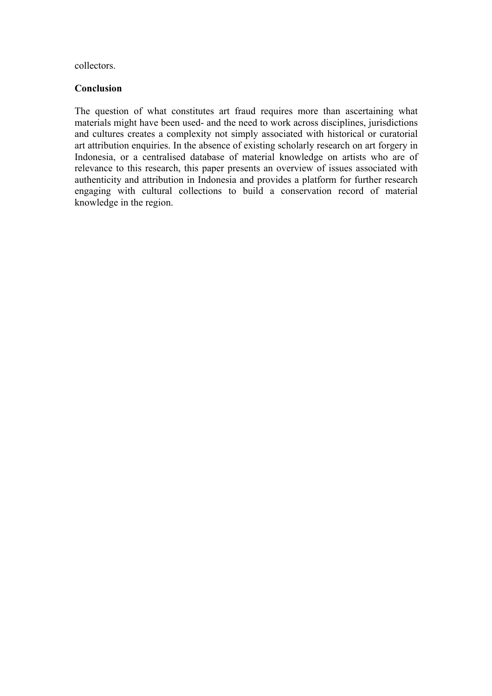collectors.

# **Conclusion**

The question of what constitutes art fraud requires more than ascertaining what materials might have been used- and the need to work across disciplines, jurisdictions and cultures creates a complexity not simply associated with historical or curatorial art attribution enquiries. In the absence of existing scholarly research on art forgery in Indonesia, or a centralised database of material knowledge on artists who are of relevance to this research, this paper presents an overview of issues associated with authenticity and attribution in Indonesia and provides a platform for further research engaging with cultural collections to build a conservation record of material knowledge in the region.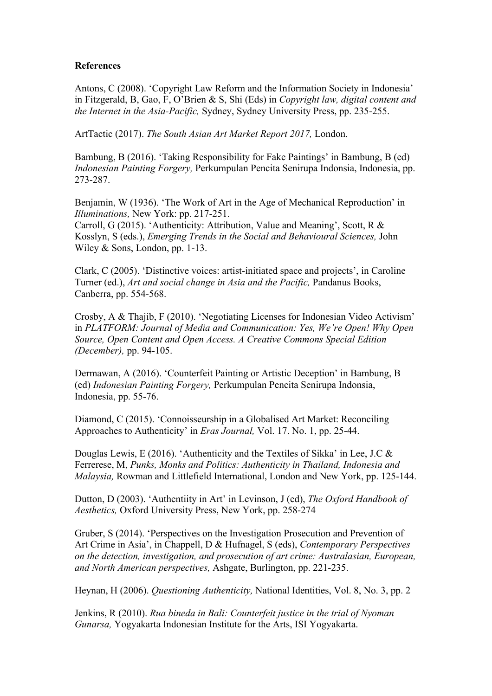### **References**

Antons, C (2008). 'Copyright Law Reform and the Information Society in Indonesia' in Fitzgerald, B, Gao, F, O'Brien & S, Shi (Eds) in *Copyright law, digital content and the Internet in the Asia-Pacific,* Sydney, Sydney University Press, pp. 235-255.

ArtTactic (2017). *The South Asian Art Market Report 2017,* London.

Bambung, B (2016). 'Taking Responsibility for Fake Paintings' in Bambung, B (ed) *Indonesian Painting Forgery,* Perkumpulan Pencita Senirupa Indonsia, Indonesia, pp. 273-287.

Benjamin, W (1936). 'The Work of Art in the Age of Mechanical Reproduction' in *Illuminations,* New York: pp. 217-251.

Carroll, G (2015). 'Authenticity: Attribution, Value and Meaning', Scott, R & Kosslyn, S (eds.), *Emerging Trends in the Social and Behavioural Sciences,* John Wiley & Sons, London, pp. 1-13.

Clark, C (2005). 'Distinctive voices: artist-initiated space and projects', in Caroline Turner (ed.), *Art and social change in Asia and the Pacific,* Pandanus Books, Canberra, pp. 554-568.

Crosby, A & Thajib, F (2010). 'Negotiating Licenses for Indonesian Video Activism' in *PLATFORM: Journal of Media and Communication: Yes, We're Open! Why Open Source, Open Content and Open Access. A Creative Commons Special Edition (December),* pp. 94-105.

Dermawan, A (2016). 'Counterfeit Painting or Artistic Deception' in Bambung, B (ed) *Indonesian Painting Forgery,* Perkumpulan Pencita Senirupa Indonsia, Indonesia, pp. 55-76.

Diamond, C (2015). 'Connoisseurship in a Globalised Art Market: Reconciling Approaches to Authenticity' in *Eras Journal,* Vol. 17. No. 1, pp. 25-44.

Douglas Lewis, E (2016). 'Authenticity and the Textiles of Sikka' in Lee, J.C & Ferrerese, M, *Punks, Monks and Politics: Authenticity in Thailand, Indonesia and Malaysia,* Rowman and Littlefield International, London and New York, pp. 125-144.

Dutton, D (2003). 'Authentiity in Art' in Levinson, J (ed), *The Oxford Handbook of Aesthetics,* Oxford University Press, New York, pp. 258-274

Gruber, S (2014). 'Perspectives on the Investigation Prosecution and Prevention of Art Crime in Asia', in Chappell, D & Hufnagel, S (eds), *Contemporary Perspectives on the detection, investigation, and prosecution of art crime: Australasian, European, and North American perspectives,* Ashgate, Burlington, pp. 221-235.

Heynan, H (2006). *Questioning Authenticity,* National Identities, Vol. 8, No. 3, pp. 2

Jenkins, R (2010). *Rua bineda in Bali: Counterfeit justice in the trial of Nyoman Gunarsa,* Yogyakarta Indonesian Institute for the Arts, ISI Yogyakarta.